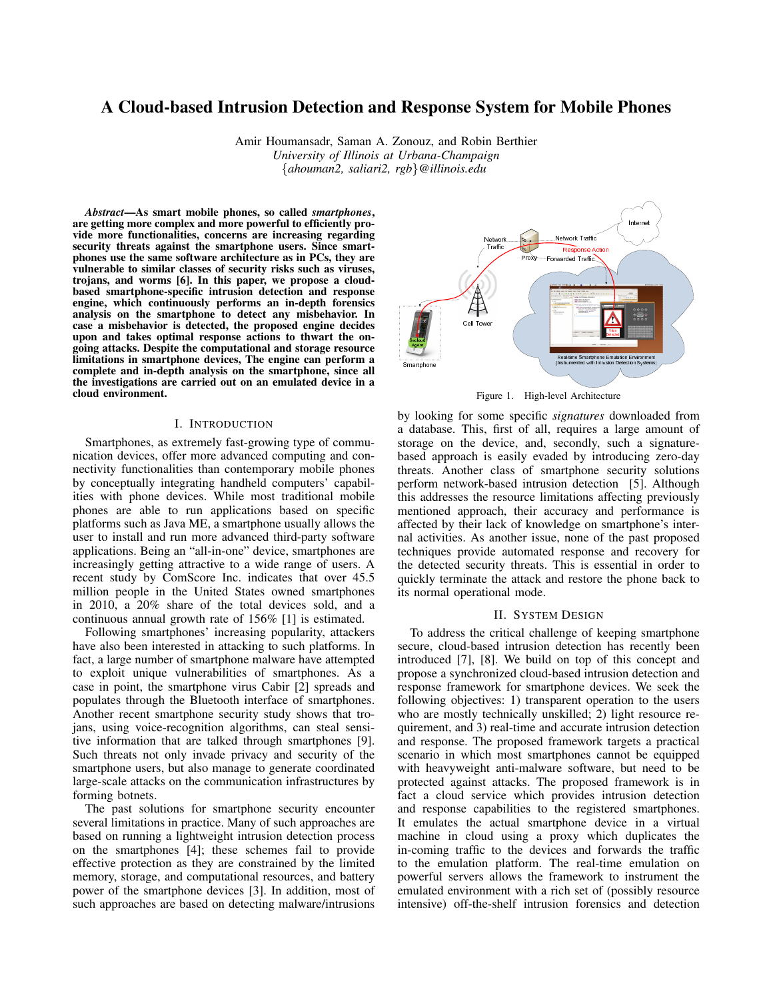# A Cloud-based Intrusion Detection and Response System for Mobile Phones

Amir Houmansadr, Saman A. Zonouz, and Robin Berthier *University of Illinois at Urbana-Champaign {ahouman2, saliari2, rgb}@illinois.edu*

*Abstract*—As smart mobile phones, so called *smartphones*, are getting more complex and more powerful to efficiently provide more functionalities, concerns are increasing regarding security threats against the smartphone users. Since smartphones use the same software architecture as in PCs, they are vulnerable to similar classes of security risks such as viruses, trojans, and worms [6]. In this paper, we propose a cloudbased smartphone-specific intrusion detection and response engine, which continuously performs an in-depth forensics analysis on the smartphone to detect any misbehavior. In case a misbehavior is detected, the proposed engine decides upon and takes optimal response actions to thwart the ongoing attacks. Despite the computational and storage resource limitations in smartphone devices, The engine can perform a complete and in-depth analysis on the smartphone, since all the investigations are carried out on an emulated device in a cloud environment.

### I. INTRODUCTION

Smartphones, as extremely fast-growing type of communication devices, offer more advanced computing and connectivity functionalities than contemporary mobile phones by conceptually integrating handheld computers' capabilities with phone devices. While most traditional mobile phones are able to run applications based on specific platforms such as Java ME, a smartphone usually allows the user to install and run more advanced third-party software applications. Being an "all-in-one" device, smartphones are increasingly getting attractive to a wide range of users. A recent study by ComScore Inc. indicates that over 45.5 million people in the United States owned smartphones in 2010, a 20% share of the total devices sold, and a continuous annual growth rate of 156% [1] is estimated.

Following smartphones' increasing popularity, attackers have also been interested in attacking to such platforms. In fact, a large number of smartphone malware have attempted to exploit unique vulnerabilities of smartphones. As a case in point, the smartphone virus Cabir [2] spreads and populates through the Bluetooth interface of smartphones. Another recent smartphone security study shows that trojans, using voice-recognition algorithms, can steal sensitive information that are talked through smartphones [9]. Such threats not only invade privacy and security of the smartphone users, but also manage to generate coordinated large-scale attacks on the communication infrastructures by forming botnets.

The past solutions for smartphone security encounter several limitations in practice. Many of such approaches are based on running a lightweight intrusion detection process on the smartphones [4]; these schemes fail to provide effective protection as they are constrained by the limited memory, storage, and computational resources, and battery power of the smartphone devices [3]. In addition, most of such approaches are based on detecting malware/intrusions



by looking for some specific *signatures* downloaded from a database. This, first of all, requires a large amount of storage on the device, and, secondly, such a signaturebased approach is easily evaded by introducing zero-day threats. Another class of smartphone security solutions perform network-based intrusion detection [5]. Although this addresses the resource limitations affecting previously mentioned approach, their accuracy and performance is affected by their lack of knowledge on smartphone's internal activities. As another issue, none of the past proposed techniques provide automated response and recovery for the detected security threats. This is essential in order to quickly terminate the attack and restore the phone back to its normal operational mode.

### II. SYSTEM DESIGN

To address the critical challenge of keeping smartphone secure, cloud-based intrusion detection has recently been introduced [7], [8]. We build on top of this concept and propose a synchronized cloud-based intrusion detection and response framework for smartphone devices. We seek the following objectives: 1) transparent operation to the users who are mostly technically unskilled; 2) light resource requirement, and 3) real-time and accurate intrusion detection and response. The proposed framework targets a practical scenario in which most smartphones cannot be equipped with heavyweight anti-malware software, but need to be protected against attacks. The proposed framework is in fact a cloud service which provides intrusion detection and response capabilities to the registered smartphones. It emulates the actual smartphone device in a virtual machine in cloud using a proxy which duplicates the in-coming traffic to the devices and forwards the traffic to the emulation platform. The real-time emulation on powerful servers allows the framework to instrument the emulated environment with a rich set of (possibly resource intensive) off-the-shelf intrusion forensics and detection